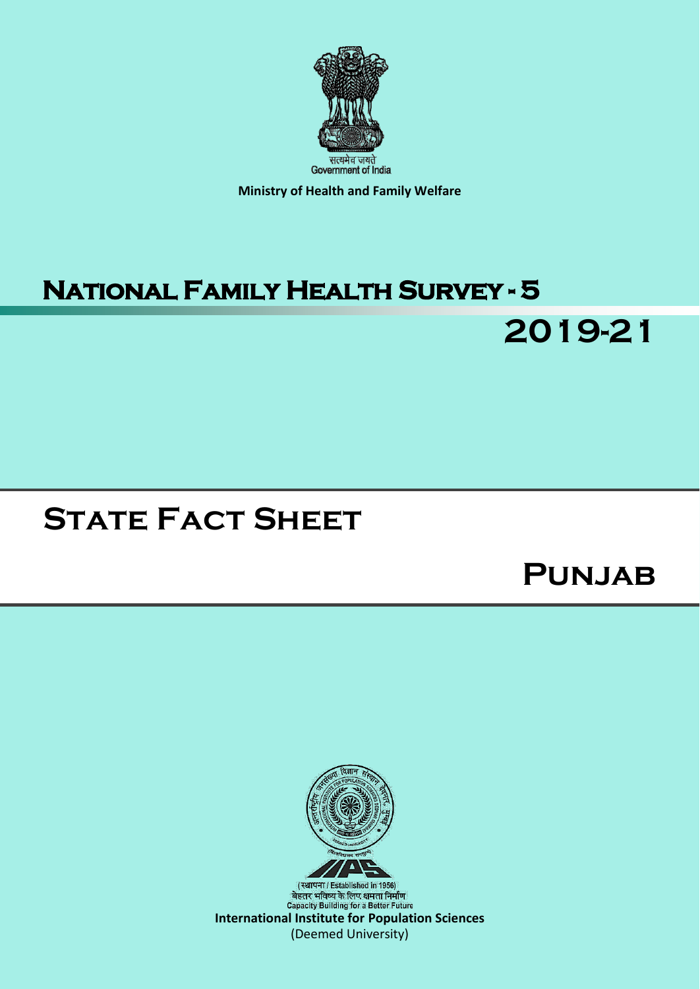

**Ministry of Health and Family Welfare**

## **National Family Health Survey - 5**

# **State Fact Sheet**

## **Punjab**

**2019-21**

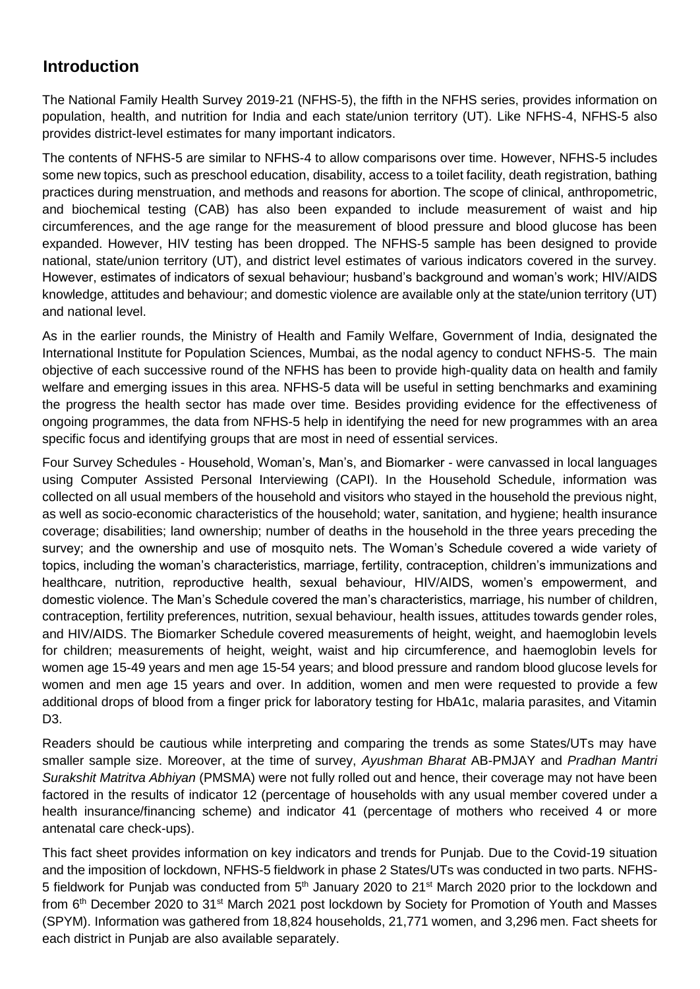#### **Introduction**

The National Family Health Survey 2019-21 (NFHS-5), the fifth in the NFHS series, provides information on population, health, and nutrition for India and each state/union territory (UT). Like NFHS-4, NFHS-5 also provides district-level estimates for many important indicators.

The contents of NFHS-5 are similar to NFHS-4 to allow comparisons over time. However, NFHS-5 includes some new topics, such as preschool education, disability, access to a toilet facility, death registration, bathing practices during menstruation, and methods and reasons for abortion. The scope of clinical, anthropometric, and biochemical testing (CAB) has also been expanded to include measurement of waist and hip circumferences, and the age range for the measurement of blood pressure and blood glucose has been expanded. However, HIV testing has been dropped. The NFHS-5 sample has been designed to provide national, state/union territory (UT), and district level estimates of various indicators covered in the survey. However, estimates of indicators of sexual behaviour; husband's background and woman's work; HIV/AIDS knowledge, attitudes and behaviour; and domestic violence are available only at the state/union territory (UT) and national level.

As in the earlier rounds, the Ministry of Health and Family Welfare, Government of India, designated the International Institute for Population Sciences, Mumbai, as the nodal agency to conduct NFHS-5. The main objective of each successive round of the NFHS has been to provide high-quality data on health and family welfare and emerging issues in this area. NFHS-5 data will be useful in setting benchmarks and examining the progress the health sector has made over time. Besides providing evidence for the effectiveness of ongoing programmes, the data from NFHS-5 help in identifying the need for new programmes with an area specific focus and identifying groups that are most in need of essential services.

Four Survey Schedules - Household, Woman's, Man's, and Biomarker - were canvassed in local languages using Computer Assisted Personal Interviewing (CAPI). In the Household Schedule, information was collected on all usual members of the household and visitors who stayed in the household the previous night, as well as socio-economic characteristics of the household; water, sanitation, and hygiene; health insurance coverage; disabilities; land ownership; number of deaths in the household in the three years preceding the survey; and the ownership and use of mosquito nets. The Woman's Schedule covered a wide variety of topics, including the woman's characteristics, marriage, fertility, contraception, children's immunizations and healthcare, nutrition, reproductive health, sexual behaviour, HIV/AIDS, women's empowerment, and domestic violence. The Man's Schedule covered the man's characteristics, marriage, his number of children, contraception, fertility preferences, nutrition, sexual behaviour, health issues, attitudes towards gender roles, and HIV/AIDS. The Biomarker Schedule covered measurements of height, weight, and haemoglobin levels for children; measurements of height, weight, waist and hip circumference, and haemoglobin levels for women age 15-49 years and men age 15-54 years; and blood pressure and random blood glucose levels for women and men age 15 years and over. In addition, women and men were requested to provide a few additional drops of blood from a finger prick for laboratory testing for HbA1c, malaria parasites, and Vitamin D3.

Readers should be cautious while interpreting and comparing the trends as some States/UTs may have smaller sample size. Moreover, at the time of survey, *Ayushman Bharat* AB-PMJAY and *Pradhan Mantri Surakshit Matritva Abhiyan* (PMSMA) were not fully rolled out and hence, their coverage may not have been factored in the results of indicator 12 (percentage of households with any usual member covered under a health insurance/financing scheme) and indicator 41 (percentage of mothers who received 4 or more antenatal care check-ups).

This fact sheet provides information on key indicators and trends for Punjab. Due to the Covid-19 situation and the imposition of lockdown, NFHS-5 fieldwork in phase 2 States/UTs was conducted in two parts. NFHS-5 fieldwork for Punjab was conducted from 5<sup>th</sup> January 2020 to 21<sup>st</sup> March 2020 prior to the lockdown and from 6<sup>th</sup> December 2020 to 31<sup>st</sup> March 2021 post lockdown by Society for Promotion of Youth and Masses (SPYM). Information was gathered from 18,824 households, 21,771 women, and 3,296 men. Fact sheets for each district in Punjab are also available separately.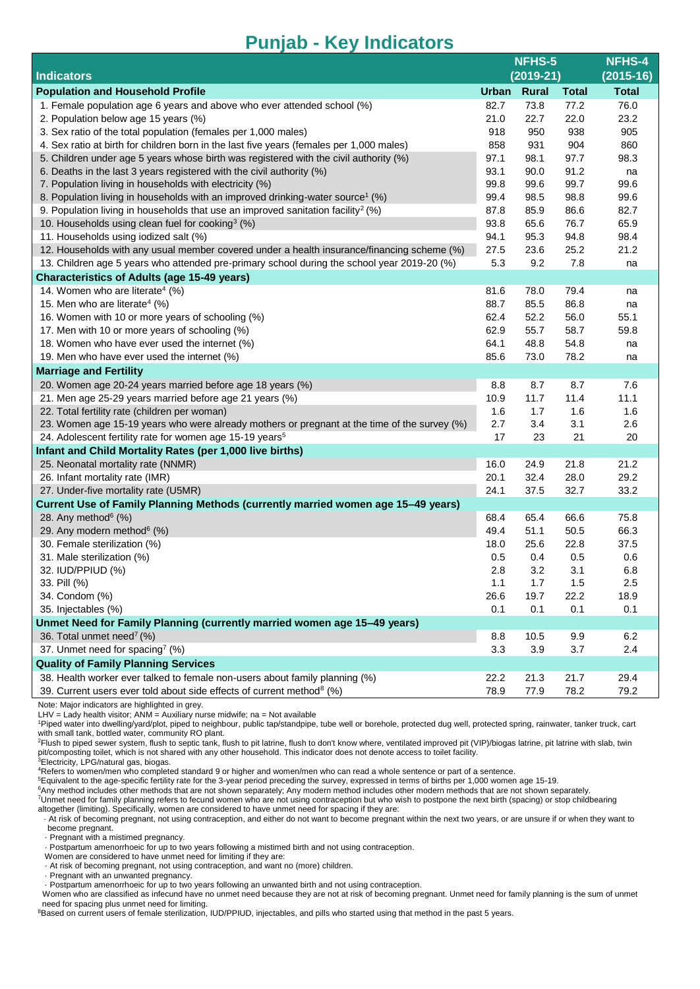|                                                                                              | NFHS-5       |              |              | <b>NFHS-4</b> |
|----------------------------------------------------------------------------------------------|--------------|--------------|--------------|---------------|
| <b>Indicators</b>                                                                            | $(2019-21)$  |              |              | $(2015-16)$   |
| <b>Population and Household Profile</b>                                                      | <b>Urban</b> | <b>Rural</b> | <b>Total</b> | <b>Total</b>  |
| 1. Female population age 6 years and above who ever attended school (%)                      | 82.7         | 73.8         | 77.2         | 76.0          |
| 2. Population below age 15 years (%)                                                         | 21.0         | 22.7         | 22.0         | 23.2          |
| 3. Sex ratio of the total population (females per 1,000 males)                               | 918          | 950          | 938          | 905           |
| 4. Sex ratio at birth for children born in the last five years (females per 1,000 males)     | 858          | 931          | 904          | 860           |
| 5. Children under age 5 years whose birth was registered with the civil authority (%)        | 97.1         | 98.1         | 97.7         | 98.3          |
| 6. Deaths in the last 3 years registered with the civil authority (%)                        | 93.1         | 90.0         | 91.2         | na            |
| 7. Population living in households with electricity (%)                                      | 99.8         | 99.6         | 99.7         | 99.6          |
| 8. Population living in households with an improved drinking-water source <sup>1</sup> (%)   | 99.4         | 98.5         | 98.8         | 99.6          |
| 9. Population living in households that use an improved sanitation facility <sup>2</sup> (%) | 87.8         | 85.9         | 86.6         | 82.7          |
| 10. Households using clean fuel for cooking $\frac{3}{2}$ (%)                                | 93.8         | 65.6         | 76.7         | 65.9          |
| 11. Households using iodized salt (%)                                                        | 94.1         | 95.3         | 94.8         | 98.4          |
| 12. Households with any usual member covered under a health insurance/financing scheme (%)   | 27.5         | 23.6         | 25.2         | 21.2          |
| 13. Children age 5 years who attended pre-primary school during the school year 2019-20 (%)  | 5.3          | 9.2          | 7.8          | na            |
| <b>Characteristics of Adults (age 15-49 years)</b>                                           |              |              |              |               |
| 14. Women who are literate <sup>4</sup> (%)                                                  | 81.6         | 78.0         | 79.4         | na            |
| 15. Men who are literate <sup>4</sup> (%)                                                    | 88.7         | 85.5         | 86.8         | na            |
| 16. Women with 10 or more years of schooling (%)                                             | 62.4         | 52.2         | 56.0         | 55.1          |
| 17. Men with 10 or more years of schooling (%)                                               | 62.9         | 55.7         | 58.7         | 59.8          |
| 18. Women who have ever used the internet (%)                                                | 64.1         | 48.8         | 54.8         | na            |
| 19. Men who have ever used the internet (%)                                                  | 85.6         | 73.0         | 78.2         | na            |
| <b>Marriage and Fertility</b>                                                                |              |              |              |               |
| 20. Women age 20-24 years married before age 18 years (%)                                    | 8.8          | 8.7          | 8.7          | 7.6           |
| 21. Men age 25-29 years married before age 21 years (%)                                      | 10.9         | 11.7         | 11.4         | 11.1          |
| 22. Total fertility rate (children per woman)                                                | 1.6          | 1.7          | 1.6          | 1.6           |
| 23. Women age 15-19 years who were already mothers or pregnant at the time of the survey (%) | 2.7          | 3.4          | 3.1          | 2.6           |
| 24. Adolescent fertility rate for women age 15-19 years <sup>5</sup>                         | 17           | 23           | 21           | 20            |
| Infant and Child Mortality Rates (per 1,000 live births)                                     |              |              |              |               |
| 25. Neonatal mortality rate (NNMR)                                                           | 16.0         | 24.9         | 21.8         | 21.2          |
| 26. Infant mortality rate (IMR)                                                              | 20.1         | 32.4         | 28.0         | 29.2          |
| 27. Under-five mortality rate (U5MR)                                                         | 24.1         | 37.5         | 32.7         | 33.2          |
| Current Use of Family Planning Methods (currently married women age 15-49 years)             |              |              |              |               |
| 28. Any method $6$ (%)                                                                       | 68.4         | 65.4         | 66.6         | 75.8          |
| 29. Any modern method <sup>6</sup> (%)                                                       | 49.4         | 51.1         | 50.5         | 66.3          |
| 30. Female sterilization (%)                                                                 | 18.0         | 25.6         | 22.8         | 37.5          |
| 31. Male sterilization (%)                                                                   | 0.5          | 0.4          | 0.5          | 0.6           |
| 32. IUD/PPIUD (%)                                                                            | 2.8          | 3.2          | 3.1          | 6.8           |
| 33. Pill (%)                                                                                 | 1.1          | 1.7          | $1.5\,$      | 2.5           |
| 34. Condom (%)                                                                               | 26.6         | 19.7         | 22.2         | 18.9          |
| 35. Injectables (%)                                                                          | 0.1          | 0.1          | 0.1          | 0.1           |
| Unmet Need for Family Planning (currently married women age 15-49 years)                     |              |              |              |               |
| 36. Total unmet need <sup>7</sup> (%)                                                        | 8.8          | 10.5         | 9.9          | 6.2           |
| 37. Unmet need for spacing <sup>7</sup> (%)                                                  | 3.3          | 3.9          | 3.7          | 2.4           |
| <b>Quality of Family Planning Services</b>                                                   |              |              |              |               |
| 38. Health worker ever talked to female non-users about family planning (%)                  | 22.2         | 21.3         | 21.7         | 29.4          |
| 39. Current users ever told about side effects of current method <sup>8</sup> (%)            | 78.9         | 77.9         | 78.2         | 79.2          |

Note: Major indicators are highlighted in grey.

LHV = Lady health visitor; ANM = Auxiliary nurse midwife; na = Not available

<sup>1</sup>Piped water into dwelling/yard/plot, piped to neighbour, public tap/standpipe, tube well or borehole, protected dug well, protected spring, rainwater, tanker truck, cart with small tank, bottled water, community RO plant.

Priush to piped sewer system, flush to septic tank, flush to pit latrine, flush to don't know where, ventilated improved pit (VIP)/biogas latrine, pit latrine with slab, twin pit/composting toilet, which is not shared with any other household. This indicator does not denote access to toilet facility. <sup>3</sup>Electricity, LPG/natural gas, biogas.

<sup>4</sup>Refers to women/men who completed standard 9 or higher and women/men who can read a whole sentence or part of a sentence.

<sup>5</sup>Equivalent to the age-specific fertility rate for the 3-year period preceding the survey, expressed in terms of births per 1,000 women age 15-19.

<sup>6</sup>Any method includes other methods that are not shown separately; Any modern method includes other modern methods that are not shown separately.

<sup>7</sup>Unmet need for family planning refers to fecund women who are not using contraception but who wish to postpone the next birth (spacing) or stop childbearing altogether (limiting). Specifically, women are considered to have unmet need for spacing if they are:

 · At risk of becoming pregnant, not using contraception, and either do not want to become pregnant within the next two years, or are unsure if or when they want to become pregnant.

· Pregnant with a mistimed pregnancy.

· Postpartum amenorrhoeic for up to two years following a mistimed birth and not using contraception.

Women are considered to have unmet need for limiting if they are:

· At risk of becoming pregnant, not using contraception, and want no (more) children.

· Pregnant with an unwanted pregnancy.

· Postpartum amenorrhoeic for up to two years following an unwanted birth and not using contraception.

Women who are classified as infecund have no unmet need because they are not at risk of becoming pregnant. Unmet need for family planning is the sum of unmet need for spacing plus unmet need for limiting.<br><sup>8</sup>Based on current users of female sterilization, IUD/PPIUD, injectables, and pills who started using that method in the past 5 years.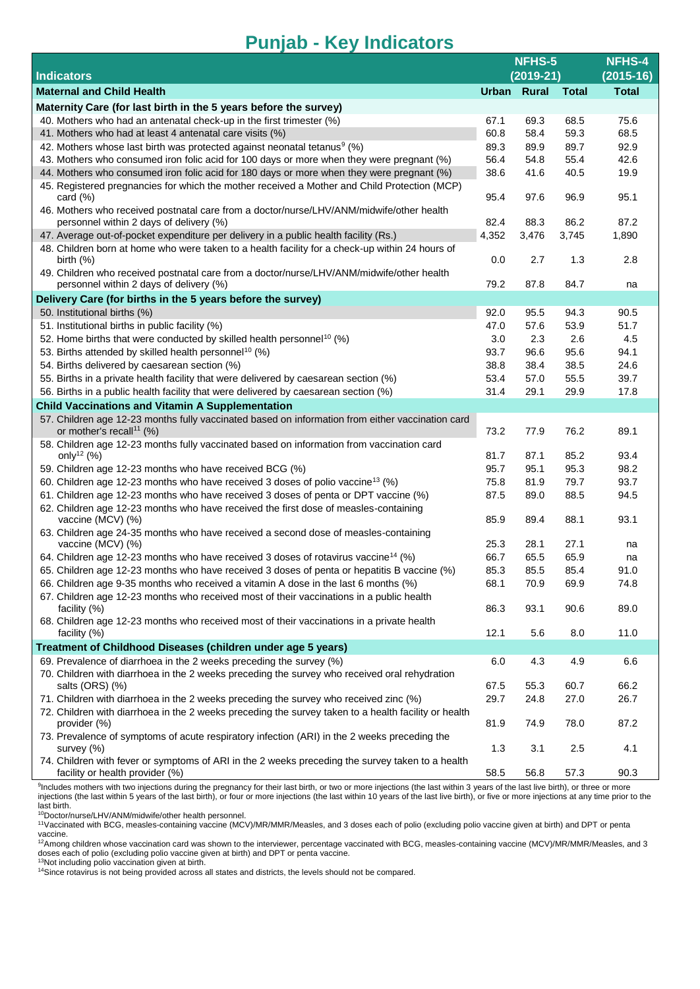|                                                                                                                                     | NFHS-5      |             |              | <b>NFHS-4</b> |
|-------------------------------------------------------------------------------------------------------------------------------------|-------------|-------------|--------------|---------------|
| <b>Indicators</b>                                                                                                                   |             | $(2019-21)$ |              | $(2015-16)$   |
| <b>Maternal and Child Health</b>                                                                                                    | Urban Rural |             | <b>Total</b> | <b>Total</b>  |
| Maternity Care (for last birth in the 5 years before the survey)                                                                    |             |             |              |               |
| 40. Mothers who had an antenatal check-up in the first trimester (%)                                                                | 67.1        | 69.3        | 68.5         | 75.6          |
| 41. Mothers who had at least 4 antenatal care visits (%)                                                                            | 60.8        | 58.4        | 59.3         | 68.5          |
| 42. Mothers whose last birth was protected against neonatal tetanus <sup>9</sup> (%)                                                | 89.3        | 89.9        | 89.7         | 92.9          |
| 43. Mothers who consumed iron folic acid for 100 days or more when they were pregnant (%)                                           | 56.4        | 54.8        | 55.4         | 42.6          |
| 44. Mothers who consumed iron folic acid for 180 days or more when they were pregnant (%)                                           | 38.6        | 41.6        | 40.5         | 19.9          |
| 45. Registered pregnancies for which the mother received a Mother and Child Protection (MCP)<br>card $(\%)$                         | 95.4        | 97.6        | 96.9         | 95.1          |
| 46. Mothers who received postnatal care from a doctor/nurse/LHV/ANM/midwife/other health                                            |             |             |              |               |
| personnel within 2 days of delivery (%)                                                                                             | 82.4        | 88.3        | 86.2         | 87.2          |
| 47. Average out-of-pocket expenditure per delivery in a public health facility (Rs.)                                                | 4,352       | 3,476       | 3,745        | 1,890         |
| 48. Children born at home who were taken to a health facility for a check-up within 24 hours of<br>birth $(\%)$                     | 0.0         | 2.7         | 1.3          | 2.8           |
| 49. Children who received postnatal care from a doctor/nurse/LHV/ANM/midwife/other health                                           |             |             |              |               |
| personnel within 2 days of delivery (%)                                                                                             | 79.2        | 87.8        | 84.7         | na            |
| Delivery Care (for births in the 5 years before the survey)                                                                         |             |             |              |               |
| 50. Institutional births (%)                                                                                                        | 92.0        | 95.5        | 94.3         | 90.5          |
| 51. Institutional births in public facility (%)                                                                                     | 47.0        | 57.6        | 53.9         | 51.7          |
| 52. Home births that were conducted by skilled health personnel <sup>10</sup> (%)                                                   | 3.0         | 2.3         | 2.6          | 4.5           |
| 53. Births attended by skilled health personnel <sup>10</sup> (%)                                                                   | 93.7        | 96.6        | 95.6         | 94.1          |
| 54. Births delivered by caesarean section (%)                                                                                       | 38.8        | 38.4        | 38.5         | 24.6          |
| 55. Births in a private health facility that were delivered by caesarean section (%)                                                | 53.4        | 57.0        | 55.5         | 39.7          |
| 56. Births in a public health facility that were delivered by caesarean section (%)                                                 | 31.4        | 29.1        | 29.9         | 17.8          |
| <b>Child Vaccinations and Vitamin A Supplementation</b>                                                                             |             |             |              |               |
| 57. Children age 12-23 months fully vaccinated based on information from either vaccination card                                    |             |             |              |               |
| or mother's recall <sup>11</sup> (%)<br>58. Children age 12-23 months fully vaccinated based on information from vaccination card   | 73.2        | 77.9        | 76.2         | 89.1          |
| only <sup>12</sup> (%)                                                                                                              | 81.7        | 87.1        | 85.2         | 93.4          |
| 59. Children age 12-23 months who have received BCG (%)                                                                             | 95.7        | 95.1        | 95.3         | 98.2          |
| 60. Children age 12-23 months who have received 3 doses of polio vaccine <sup>13</sup> (%)                                          | 75.8        | 81.9        | 79.7         | 93.7          |
| 61. Children age 12-23 months who have received 3 doses of penta or DPT vaccine (%)                                                 | 87.5        | 89.0        | 88.5         | 94.5          |
| 62. Children age 12-23 months who have received the first dose of measles-containing                                                |             |             |              |               |
| vaccine (MCV) (%)<br>63. Children age 24-35 months who have received a second dose of measles-containing                            | 85.9        | 89.4        | 88.1         | 93.1          |
| vaccine (MCV) (%)                                                                                                                   | 25.3        | 28.1        | 27.1         | na            |
| 64. Children age 12-23 months who have received 3 doses of rotavirus vaccine <sup>14</sup> (%)                                      | 66.7        | 65.5        | 65.9         | na            |
| 65. Children age 12-23 months who have received 3 doses of penta or hepatitis B vaccine (%)                                         | 85.3        | 85.5        | 85.4         | 91.0          |
| 66. Children age 9-35 months who received a vitamin A dose in the last 6 months (%)                                                 | 68.1        | 70.9        | 69.9         | 74.8          |
| 67. Children age 12-23 months who received most of their vaccinations in a public health<br>facility $(\%)$                         | 86.3        | 93.1        | 90.6         | 89.0          |
| 68. Children age 12-23 months who received most of their vaccinations in a private health<br>facility (%)                           | 12.1        | 5.6         | 8.0          | 11.0          |
| Treatment of Childhood Diseases (children under age 5 years)                                                                        |             |             |              |               |
| 69. Prevalence of diarrhoea in the 2 weeks preceding the survey (%)                                                                 | 6.0         | 4.3         | 4.9          | 6.6           |
| 70. Children with diarrhoea in the 2 weeks preceding the survey who received oral rehydration<br>salts (ORS) (%)                    | 67.5        | 55.3        | 60.7         | 66.2          |
| 71. Children with diarrhoea in the 2 weeks preceding the survey who received zinc (%)                                               | 29.7        | 24.8        | 27.0         | 26.7          |
| 72. Children with diarrhoea in the 2 weeks preceding the survey taken to a health facility or health<br>provider (%)                | 81.9        | 74.9        | 78.0         | 87.2          |
| 73. Prevalence of symptoms of acute respiratory infection (ARI) in the 2 weeks preceding the<br>survey (%)                          | 1.3         | 3.1         | 2.5          | 4.1           |
| 74. Children with fever or symptoms of ARI in the 2 weeks preceding the survey taken to a health<br>facility or health provider (%) | 58.5        | 56.8        | 57.3         | 90.3          |
|                                                                                                                                     |             |             |              |               |

<sup>9</sup>Includes mothers with two injections during the pregnancy for their last birth, or two or more injections (the last within 3 years of the last live birth), or three or more injections (the last within 5 years of the last birth), or four or more injections (the last within 10 years of the last live birth), or five or more injections at any time prior to the last birth.<br><sup>10</sup>Doctor/nurse/LHV/ANM/midwife/other health personnel.

<sup>11</sup>Vaccinated with BCG, measles-containing vaccine (MCV)/MR/MMR/Measles, and 3 doses each of polio (excluding polio vaccine given at birth) and DPT or penta vaccine.<br><sup>12</sup>Among children whose vaccination card was shown to the interviewer, percentage vaccinated with BCG, measles-containing vaccine (MCV)/MR/MMR/Measles, and 3

doses each of polio (excluding polio vaccine given at birth) and DPT or penta vaccine. <sup>13</sup>Not including polio vaccination given at birth.

<sup>14</sup>Since rotavirus is not being provided across all states and districts, the levels should not be compared.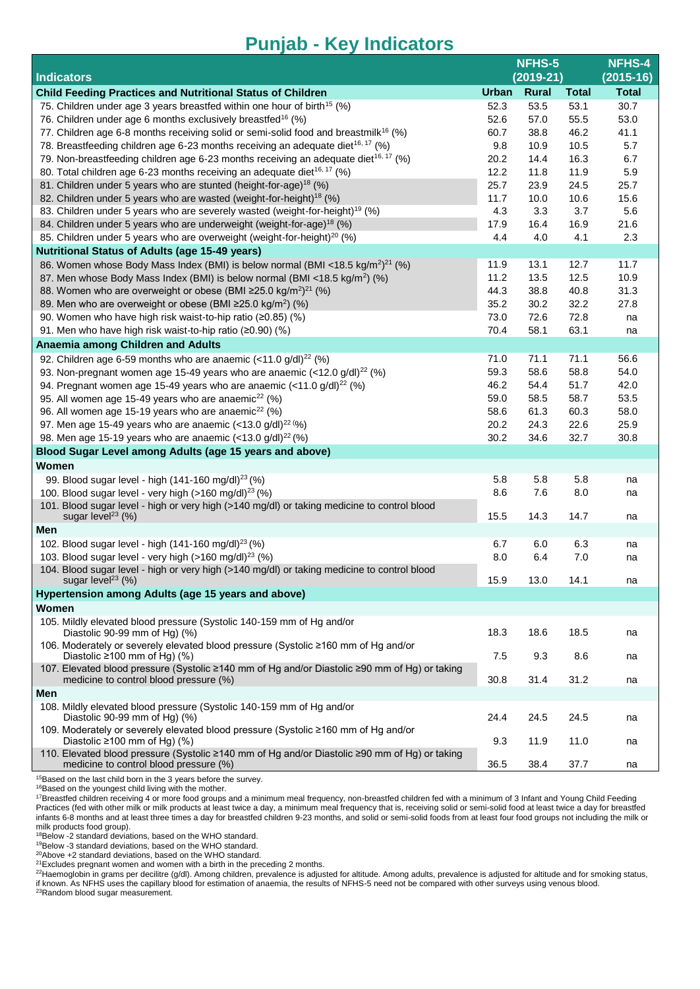|                                                                                                                                         | NFHS-5       |              |              | NFHS-4        |
|-----------------------------------------------------------------------------------------------------------------------------------------|--------------|--------------|--------------|---------------|
| <b>Indicators</b>                                                                                                                       | $(2019-21)$  |              |              | $(2015 - 16)$ |
| <b>Child Feeding Practices and Nutritional Status of Children</b>                                                                       | <b>Urban</b> | <b>Rural</b> | <b>Total</b> | <b>Total</b>  |
| 75. Children under age 3 years breastfed within one hour of birth <sup>15</sup> (%)                                                     | 52.3         | 53.5         | 53.1         | 30.7          |
| 76. Children under age 6 months exclusively breastfed <sup>16</sup> (%)                                                                 | 52.6         | 57.0         | 55.5         | 53.0          |
| 77. Children age 6-8 months receiving solid or semi-solid food and breastmilk <sup>16</sup> (%)                                         | 60.7         | 38.8         | 46.2         | 41.1          |
| 78. Breastfeeding children age 6-23 months receiving an adequate diet <sup>16, 17</sup> (%)                                             | 9.8          | 10.9         | 10.5         | 5.7           |
| 79. Non-breastfeeding children age 6-23 months receiving an adequate diet <sup>16, 17</sup> (%)                                         | 20.2         | 14.4         | 16.3         | 6.7           |
| 80. Total children age 6-23 months receiving an adequate diet <sup>16, 17</sup> (%)                                                     | 12.2         | 11.8         | 11.9         | 5.9           |
| 81. Children under 5 years who are stunted (height-for-age) <sup>18</sup> (%)                                                           | 25.7         | 23.9         | 24.5         | 25.7          |
| 82. Children under 5 years who are wasted (weight-for-height) <sup>18</sup> (%)                                                         | 11.7         | 10.0         | 10.6         | 15.6          |
| 83. Children under 5 years who are severely wasted (weight-for-height) <sup>19</sup> (%)                                                | 4.3          | 3.3          | 3.7          | 5.6           |
| 84. Children under 5 years who are underweight (weight-for-age) <sup>18</sup> (%)                                                       | 17.9         | 16.4         | 16.9         | 21.6          |
| 85. Children under 5 years who are overweight (weight-for-height) <sup>20</sup> (%)                                                     | 4.4          | 4.0          | 4.1          | 2.3           |
| <b>Nutritional Status of Adults (age 15-49 years)</b>                                                                                   |              |              |              |               |
| 86. Women whose Body Mass Index (BMI) is below normal (BMI <18.5 kg/m <sup>2)21</sup> (%)                                               | 11.9         | 13.1         | 12.7         | 11.7          |
| 87. Men whose Body Mass Index (BMI) is below normal (BMI <18.5 kg/m <sup>2</sup> ) (%)                                                  | 11.2         | 13.5         | 12.5         | 10.9          |
| 88. Women who are overweight or obese (BMI ≥25.0 kg/m <sup>2</sup> ) <sup>21</sup> (%)                                                  | 44.3         | 38.8         | 40.8         | 31.3          |
| 89. Men who are overweight or obese (BMI ≥25.0 kg/m <sup>2</sup> ) (%)                                                                  | 35.2         | 30.2         | 32.2         | 27.8          |
| 90. Women who have high risk waist-to-hip ratio (≥0.85) (%)                                                                             | 73.0         | 72.6         | 72.8         | na            |
| 91. Men who have high risk waist-to-hip ratio (≥0.90) (%)                                                                               | 70.4         | 58.1         | 63.1         | na            |
| Anaemia among Children and Adults                                                                                                       |              |              |              |               |
| 92. Children age 6-59 months who are anaemic $\left($ < 11.0 g/dl) <sup>22</sup> (%)                                                    | 71.0         | 71.1         | 71.1         | 56.6          |
| 93. Non-pregnant women age 15-49 years who are anaemic (<12.0 g/dl) <sup>22</sup> (%)                                                   | 59.3         | 58.6         | 58.8         | 54.0          |
| 94. Pregnant women age 15-49 years who are anaemic (<11.0 g/dl) <sup>22</sup> (%)                                                       | 46.2         | 54.4         | 51.7         | 42.0          |
| 95. All women age 15-49 years who are anaemic <sup>22</sup> (%)                                                                         | 59.0         | 58.5         | 58.7         | 53.5          |
| 96. All women age 15-19 years who are anaemic <sup>22</sup> (%)                                                                         | 58.6         | 61.3         | 60.3         | 58.0          |
| 97. Men age 15-49 years who are anaemic (<13.0 g/dl) <sup>22 (%</sup> )                                                                 | 20.2         | 24.3         | 22.6         | 25.9          |
| 98. Men age 15-19 years who are anaemic (<13.0 $g/dl$ ) <sup>22</sup> (%)                                                               | 30.2         | 34.6         | 32.7         | 30.8          |
| Blood Sugar Level among Adults (age 15 years and above)                                                                                 |              |              |              |               |
| Women                                                                                                                                   |              |              |              |               |
| 99. Blood sugar level - high (141-160 mg/dl) <sup>23</sup> (%)                                                                          | 5.8          | 5.8          | 5.8          | na            |
| 100. Blood sugar level - very high $($ >160 mg/dl $)^{23}$ (%)                                                                          | 8.6          | 7.6          | 8.0          | na            |
| 101. Blood sugar level - high or very high (>140 mg/dl) or taking medicine to control blood<br>sugar level <sup>23</sup> (%)            | 15.5         | 14.3         | 14.7         | na            |
| Men                                                                                                                                     |              |              |              |               |
| 102. Blood sugar level - high (141-160 mg/dl) <sup>23</sup> (%)                                                                         | 6.7          | 6.0          | 6.3          | na            |
| 103. Blood sugar level - very high (>160 mg/dl) <sup>23</sup> (%)                                                                       | 8.0          | 6.4          | 7.0          | na            |
| 104. Blood sugar level - high or very high (>140 mg/dl) or taking medicine to control blood                                             |              |              |              |               |
| sugar level <sup>23</sup> $(%)$                                                                                                         | 15.9         | 13.0         | 14.1         | na            |
| Hypertension among Adults (age 15 years and above)                                                                                      |              |              |              |               |
| Women                                                                                                                                   |              |              |              |               |
| 105. Mildly elevated blood pressure (Systolic 140-159 mm of Hg and/or<br>Diastolic 90-99 mm of Hg) (%)                                  | 18.3         | 18.6         | 18.5         | na            |
| 106. Moderately or severely elevated blood pressure (Systolic ≥160 mm of Hg and/or                                                      |              |              |              |               |
| Diastolic $\geq 100$ mm of Hg) (%)                                                                                                      | 7.5          | 9.3          | 8.6          | na            |
| 107. Elevated blood pressure (Systolic ≥140 mm of Hg and/or Diastolic ≥90 mm of Hg) or taking<br>medicine to control blood pressure (%) | 30.8         | 31.4         | 31.2         | na            |
| Men                                                                                                                                     |              |              |              |               |
| 108. Mildly elevated blood pressure (Systolic 140-159 mm of Hg and/or                                                                   |              |              |              |               |
| Diastolic 90-99 mm of Hg) (%)                                                                                                           | 24.4         | 24.5         | 24.5         | na            |
| 109. Moderately or severely elevated blood pressure (Systolic ≥160 mm of Hg and/or                                                      |              |              |              |               |
| Diastolic $\geq 100$ mm of Hg) (%)                                                                                                      | 9.3          | 11.9         | 11.0         | na            |
| 110. Elevated blood pressure (Systolic ≥140 mm of Hg and/or Diastolic ≥90 mm of Hg) or taking<br>medicine to control blood pressure (%) | 36.5         | 38.4         | 37.7         | na            |
| <sup>15</sup> Based on the last child born in the 3 years before the survey.                                                            |              |              |              |               |

<sup>16</sup>Based on the just still south in the system.

<sup>17</sup>Breastfed children receiving 4 or more food groups and a minimum meal frequency, non-breastfed children fed with a minimum of 3 Infant and Young Child Feeding Practices (fed with other milk or milk products at least twice a day, a minimum meal frequency that is, receiving solid or semi-solid food at least twice a day for breastfed infants 6-8 months and at least three times a day for breastfed children 9-23 months, and solid or semi-solid foods from at least four food groups not including the milk or milk products food group).<br><sup>18</sup>Below -2 standard deviations, based on the WHO standard.

<sup>19</sup>Below -3 standard deviations, based on the WHO standard.

<sup>20</sup>Above +2 standard deviations, based on the WHO standard.

 $21$ Excludes pregnant women and women with a birth in the preceding 2 months.

<sup>22</sup>Haemoglobin in grams per decilitre (g/dl). Among children, prevalence is adjusted for altitude. Among adults, prevalence is adjusted for altitude and for smoking status, if known. As NFHS uses the capillary blood for estimation of anaemia, the results of NFHS-5 need not be compared with other surveys using venous blood.

<sup>23</sup>Random blood sugar measurement.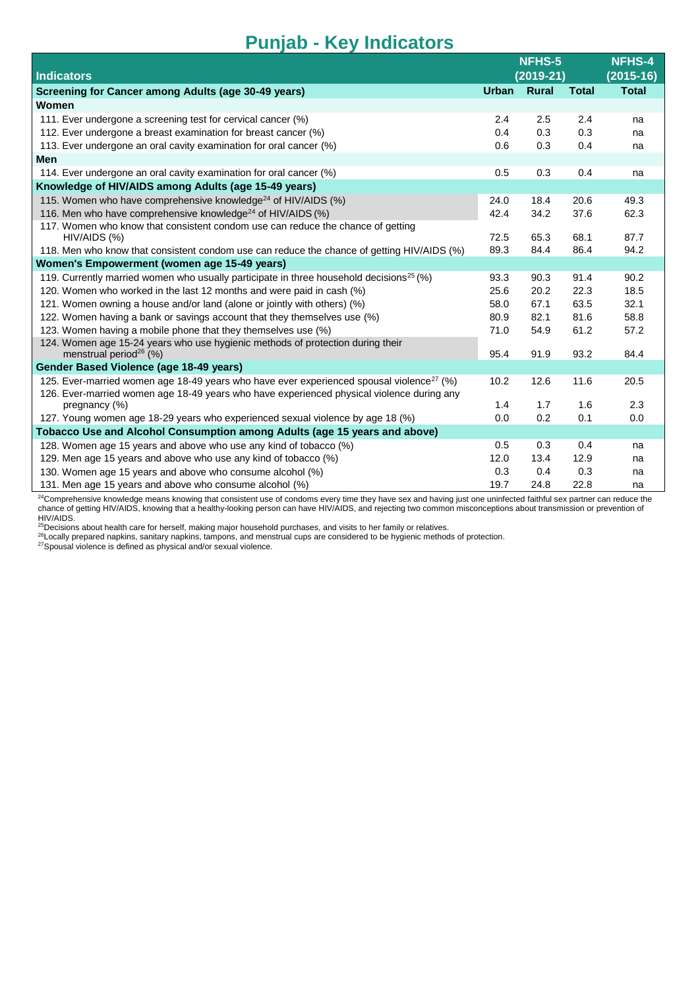| <b>Indicators</b>                                                                                                       | <b>NFHS-5</b><br>$(2019-21)$ |       |              | <b>NFHS-4</b><br>$(2015-16)$ |
|-------------------------------------------------------------------------------------------------------------------------|------------------------------|-------|--------------|------------------------------|
| Screening for Cancer among Adults (age 30-49 years)                                                                     | <b>Urban</b>                 | Rural | <b>Total</b> | <b>Total</b>                 |
| Women                                                                                                                   |                              |       |              |                              |
| 111. Ever undergone a screening test for cervical cancer (%)                                                            | 2.4                          | 2.5   | 2.4          | na                           |
| 112. Ever undergone a breast examination for breast cancer (%)                                                          | 0.4                          | 0.3   | 0.3          | na                           |
| 113. Ever undergone an oral cavity examination for oral cancer (%)                                                      | 0.6                          | 0.3   | 0.4          | na                           |
| Men                                                                                                                     |                              |       |              |                              |
| 114. Ever undergone an oral cavity examination for oral cancer (%)                                                      | 0.5                          | 0.3   | 0.4          | na                           |
| Knowledge of HIV/AIDS among Adults (age 15-49 years)                                                                    |                              |       |              |                              |
| 115. Women who have comprehensive knowledge <sup>24</sup> of HIV/AIDS (%)                                               | 24.0                         | 18.4  | 20.6         | 49.3                         |
| 116. Men who have comprehensive knowledge <sup>24</sup> of HIV/AIDS (%)                                                 | 42.4                         | 34.2  | 37.6         | 62.3                         |
| 117. Women who know that consistent condom use can reduce the chance of getting                                         |                              |       |              |                              |
| HIV/AIDS (%)                                                                                                            | 72.5                         | 65.3  | 68.1         | 87.7                         |
| 118. Men who know that consistent condom use can reduce the chance of getting HIV/AIDS (%)                              | 89.3                         | 84.4  | 86.4         | 94.2                         |
| Women's Empowerment (women age 15-49 years)                                                                             |                              |       |              |                              |
| 119. Currently married women who usually participate in three household decisions <sup>25</sup> (%)                     | 93.3                         | 90.3  | 91.4         | 90.2                         |
| 120. Women who worked in the last 12 months and were paid in cash (%)                                                   | 25.6                         | 20.2  | 22.3         | 18.5                         |
| 121. Women owning a house and/or land (alone or jointly with others) (%)                                                | 58.0                         | 67.1  | 63.5         | 32.1                         |
| 122. Women having a bank or savings account that they themselves use (%)                                                | 80.9                         | 82.1  | 81.6         | 58.8                         |
| 123. Women having a mobile phone that they themselves use (%)                                                           | 71.0                         | 54.9  | 61.2         | 57.2                         |
| 124. Women age 15-24 years who use hygienic methods of protection during their<br>menstrual period <sup>26</sup> $(\%)$ | 95.4                         | 91.9  | 93.2         | 84.4                         |
| Gender Based Violence (age 18-49 years)                                                                                 |                              |       |              |                              |
| 125. Ever-married women age 18-49 years who have ever experienced spousal violence <sup>27</sup> (%)                    | 10.2                         | 12.6  | 11.6         | 20.5                         |
| 126. Ever-married women age 18-49 years who have experienced physical violence during any                               |                              |       |              |                              |
| pregnancy (%)                                                                                                           | 1.4                          | 1.7   | 1.6          | 2.3                          |
| 127. Young women age 18-29 years who experienced sexual violence by age 18 (%)                                          | 0.0                          | 0.2   | 0.1          | 0.0                          |
| Tobacco Use and Alcohol Consumption among Adults (age 15 years and above)                                               |                              |       |              |                              |
| 128. Women age 15 years and above who use any kind of tobacco (%)                                                       | 0.5                          | 0.3   | 0.4          | na                           |
| 129. Men age 15 years and above who use any kind of tobacco (%)                                                         | 12.0                         | 13.4  | 12.9         | na                           |
| 130. Women age 15 years and above who consume alcohol (%)                                                               | 0.3                          | 0.4   | 0.3          | na                           |
| 131. Men age 15 years and above who consume alcohol (%)                                                                 | 19.7                         | 24.8  | 22.8         | na                           |

 $^{24}$ Comprehensive knowledge means knowing that consistent use of condoms every time they have sex and having just one uninfected faithful sex partner can reduce the chance of getting HIV/AIDS, knowing that a healthy-looking person can have HIV/AIDS, and rejecting two common misconceptions about transmission or prevention of

HIV/AIDS.<br><sup>25</sup>Decisions about health care for herself, making major household purchases, and visits to her family or relatives.

<sup>26</sup>Locally prepared napkins, sanitary napkins, tampons, and menstrual cups are considered to be hygienic methods of protection.

<sup>27</sup>Spousal violence is defined as physical and/or sexual violence.